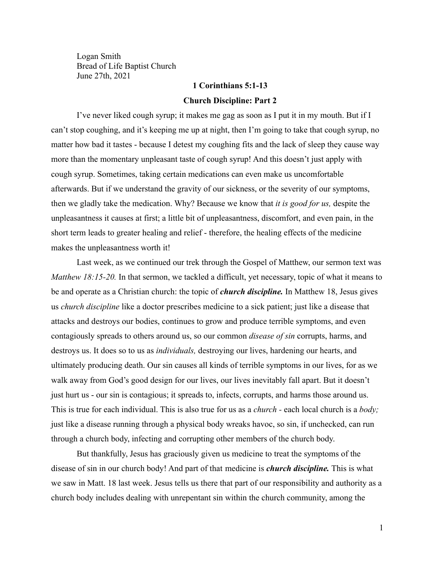Logan Smith Bread of Life Baptist Church June 27th, 2021

## **1 Corinthians 5:1-13**

## **Church Discipline: Part 2**

I've never liked cough syrup; it makes me gag as soon as I put it in my mouth. But if I can't stop coughing, and it's keeping me up at night, then I'm going to take that cough syrup, no matter how bad it tastes - because I detest my coughing fits and the lack of sleep they cause way more than the momentary unpleasant taste of cough syrup! And this doesn't just apply with cough syrup. Sometimes, taking certain medications can even make us uncomfortable afterwards. But if we understand the gravity of our sickness, or the severity of our symptoms, then we gladly take the medication. Why? Because we know that *it is good for us,* despite the unpleasantness it causes at first; a little bit of unpleasantness, discomfort, and even pain, in the short term leads to greater healing and relief - therefore, the healing effects of the medicine makes the unpleasantness worth it!

Last week, as we continued our trek through the Gospel of Matthew, our sermon text was *Matthew 18:15-20.* In that sermon, we tackled a difficult, yet necessary, topic of what it means to be and operate as a Christian church: the topic of *church discipline.* In Matthew 18, Jesus gives us *church discipline* like a doctor prescribes medicine to a sick patient; just like a disease that attacks and destroys our bodies, continues to grow and produce terrible symptoms, and even contagiously spreads to others around us, so our common *disease of sin* corrupts, harms, and destroys us. It does so to us as *individuals,* destroying our lives, hardening our hearts, and ultimately producing death. Our sin causes all kinds of terrible symptoms in our lives, for as we walk away from God's good design for our lives, our lives inevitably fall apart. But it doesn't just hurt us - our sin is contagious; it spreads to, infects, corrupts, and harms those around us. This is true for each individual. This is also true for us as a *church -* each local church is a *body;* just like a disease running through a physical body wreaks havoc, so sin, if unchecked, can run through a church body, infecting and corrupting other members of the church body.

But thankfully, Jesus has graciously given us medicine to treat the symptoms of the disease of sin in our church body! And part of that medicine is *church discipline.* This is what we saw in Matt. 18 last week. Jesus tells us there that part of our responsibility and authority as a church body includes dealing with unrepentant sin within the church community, among the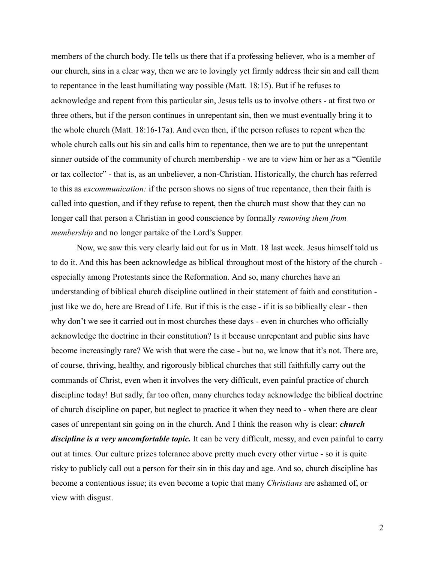members of the church body. He tells us there that if a professing believer, who is a member of our church, sins in a clear way, then we are to lovingly yet firmly address their sin and call them to repentance in the least humiliating way possible (Matt. 18:15). But if he refuses to acknowledge and repent from this particular sin, Jesus tells us to involve others - at first two or three others, but if the person continues in unrepentant sin, then we must eventually bring it to the whole church (Matt. 18:16-17a). And even then, if the person refuses to repent when the whole church calls out his sin and calls him to repentance, then we are to put the unrepentant sinner outside of the community of church membership - we are to view him or her as a "Gentile or tax collector" - that is, as an unbeliever, a non-Christian. Historically, the church has referred to this as *excommunication:* if the person shows no signs of true repentance, then their faith is called into question, and if they refuse to repent, then the church must show that they can no longer call that person a Christian in good conscience by formally *removing them from membership* and no longer partake of the Lord's Supper.

Now, we saw this very clearly laid out for us in Matt. 18 last week. Jesus himself told us to do it. And this has been acknowledge as biblical throughout most of the history of the church especially among Protestants since the Reformation. And so, many churches have an understanding of biblical church discipline outlined in their statement of faith and constitution just like we do, here are Bread of Life. But if this is the case - if it is so biblically clear - then why don't we see it carried out in most churches these days - even in churches who officially acknowledge the doctrine in their constitution? Is it because unrepentant and public sins have become increasingly rare? We wish that were the case - but no, we know that it's not. There are, of course, thriving, healthy, and rigorously biblical churches that still faithfully carry out the commands of Christ, even when it involves the very difficult, even painful practice of church discipline today! But sadly, far too often, many churches today acknowledge the biblical doctrine of church discipline on paper, but neglect to practice it when they need to - when there are clear cases of unrepentant sin going on in the church. And I think the reason why is clear: *church discipline is a very uncomfortable topic.* It can be very difficult, messy, and even painful to carry out at times. Our culture prizes tolerance above pretty much every other virtue - so it is quite risky to publicly call out a person for their sin in this day and age. And so, church discipline has become a contentious issue; its even become a topic that many *Christians* are ashamed of, or view with disgust.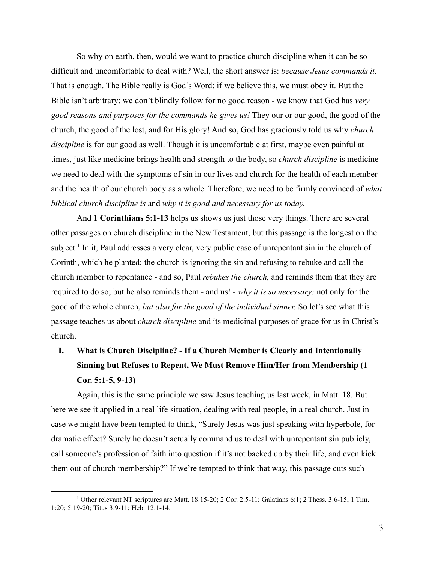So why on earth, then, would we want to practice church discipline when it can be so difficult and uncomfortable to deal with? Well, the short answer is: *because Jesus commands it.* That is enough. The Bible really is God's Word; if we believe this, we must obey it. But the Bible isn't arbitrary; we don't blindly follow for no good reason - we know that God has *very good reasons and purposes for the commands he gives us!* They our or our good, the good of the church, the good of the lost, and for His glory! And so, God has graciously told us why *church discipline* is for our good as well. Though it is uncomfortable at first, maybe even painful at times, just like medicine brings health and strength to the body, so *church discipline* is medicine we need to deal with the symptoms of sin in our lives and church for the health of each member and the health of our church body as a whole. Therefore, we need to be firmly convinced of *what biblical church discipline is* and *why it is good and necessary for us today.*

And **1 Corinthians 5:1-13** helps us shows us just those very things. There are several other passages on church discipline in the New Testament, but this passage is the longest on the subject.<sup>1</sup> In it, Paul addresses a very clear, very public case of unrepentant sin in the church of Corinth, which he planted; the church is ignoring the sin and refusing to rebuke and call the church member to repentance - and so, Paul *rebukes the church,* and reminds them that they are required to do so; but he also reminds them - and us! - *why it is so necessary:* not only for the good of the whole church, *but also for the good of the individual sinner.* So let's see what this passage teaches us about *church discipline* and its medicinal purposes of grace for us in Christ's church.

## **I. What is Church Discipline? - If a Church Member is Clearly and Intentionally Sinning but Refuses to Repent, We Must Remove Him/Her from Membership (1 Cor. 5:1-5, 9-13)**

Again, this is the same principle we saw Jesus teaching us last week, in Matt. 18. But here we see it applied in a real life situation, dealing with real people, in a real church. Just in case we might have been tempted to think, "Surely Jesus was just speaking with hyperbole, for dramatic effect? Surely he doesn't actually command us to deal with unrepentant sin publicly, call someone's profession of faith into question if it's not backed up by their life, and even kick them out of church membership?" If we're tempted to think that way, this passage cuts such

<sup>1</sup> Other relevant NT scriptures are Matt. 18:15-20; 2 Cor. 2:5-11; Galatians 6:1; 2 Thess. 3:6-15; 1 Tim. 1:20; 5:19-20; Titus 3:9-11; Heb. 12:1-14.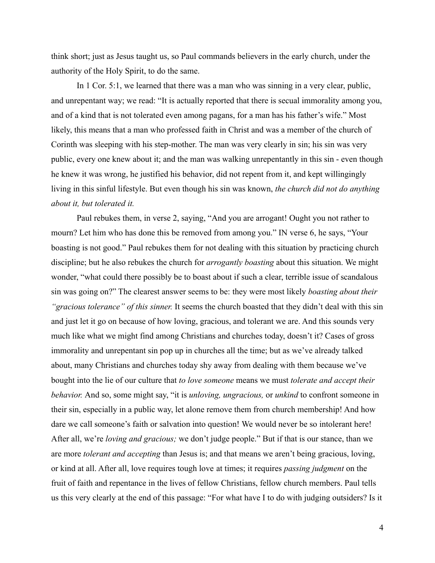think short; just as Jesus taught us, so Paul commands believers in the early church, under the authority of the Holy Spirit, to do the same.

In 1 Cor. 5:1, we learned that there was a man who was sinning in a very clear, public, and unrepentant way; we read: "It is actually reported that there is secual immorality among you, and of a kind that is not tolerated even among pagans, for a man has his father's wife." Most likely, this means that a man who professed faith in Christ and was a member of the church of Corinth was sleeping with his step-mother. The man was very clearly in sin; his sin was very public, every one knew about it; and the man was walking unrepentantly in this sin - even though he knew it was wrong, he justified his behavior, did not repent from it, and kept willingingly living in this sinful lifestyle. But even though his sin was known, *the church did not do anything about it, but tolerated it.*

Paul rebukes them, in verse 2, saying, "And you are arrogant! Ought you not rather to mourn? Let him who has done this be removed from among you." IN verse 6, he says, "Your boasting is not good." Paul rebukes them for not dealing with this situation by practicing church discipline; but he also rebukes the church for *arrogantly boasting* about this situation. We might wonder, "what could there possibly be to boast about if such a clear, terrible issue of scandalous sin was going on?" The clearest answer seems to be: they were most likely *boasting about their "gracious tolerance" of this sinner.* It seems the church boasted that they didn't deal with this sin and just let it go on because of how loving, gracious, and tolerant we are. And this sounds very much like what we might find among Christians and churches today, doesn't it? Cases of gross immorality and unrepentant sin pop up in churches all the time; but as we've already talked about, many Christians and churches today shy away from dealing with them because we've bought into the lie of our culture that *to love someone* means we must *tolerate and accept their behavior.* And so, some might say, "it is *unloving, ungracious,* or *unkind* to confront someone in their sin, especially in a public way, let alone remove them from church membership! And how dare we call someone's faith or salvation into question! We would never be so intolerant here! After all, we're *loving and gracious;* we don't judge people." But if that is our stance, than we are more *tolerant and accepting* than Jesus is; and that means we aren't being gracious, loving, or kind at all. After all, love requires tough love at times; it requires *passing judgment* on the fruit of faith and repentance in the lives of fellow Christians, fellow church members. Paul tells us this very clearly at the end of this passage: "For what have I to do with judging outsiders? Is it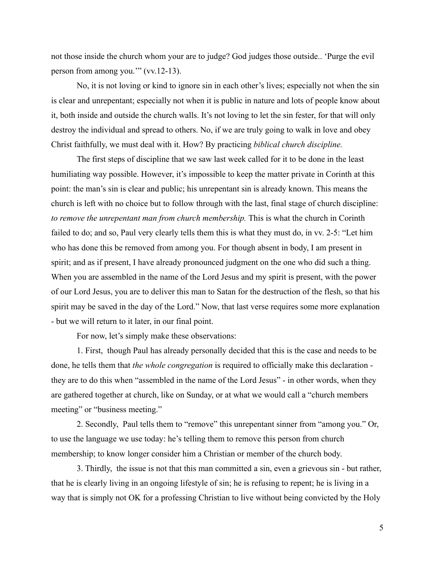not those inside the church whom your are to judge? God judges those outside.. 'Purge the evil person from among you.'" (vv.12-13).

No, it is not loving or kind to ignore sin in each other's lives; especially not when the sin is clear and unrepentant; especially not when it is public in nature and lots of people know about it, both inside and outside the church walls. It's not loving to let the sin fester, for that will only destroy the individual and spread to others. No, if we are truly going to walk in love and obey Christ faithfully, we must deal with it. How? By practicing *biblical church discipline.*

The first steps of discipline that we saw last week called for it to be done in the least humiliating way possible. However, it's impossible to keep the matter private in Corinth at this point: the man's sin is clear and public; his unrepentant sin is already known. This means the church is left with no choice but to follow through with the last, final stage of church discipline: *to remove the unrepentant man from church membership.* This is what the church in Corinth failed to do; and so, Paul very clearly tells them this is what they must do, in vv. 2-5: "Let him who has done this be removed from among you. For though absent in body, I am present in spirit; and as if present, I have already pronounced judgment on the one who did such a thing. When you are assembled in the name of the Lord Jesus and my spirit is present, with the power of our Lord Jesus, you are to deliver this man to Satan for the destruction of the flesh, so that his spirit may be saved in the day of the Lord." Now, that last verse requires some more explanation - but we will return to it later, in our final point.

For now, let's simply make these observations:

1. First, though Paul has already personally decided that this is the case and needs to be done, he tells them that *the whole congregation* is required to officially make this declaration they are to do this when "assembled in the name of the Lord Jesus" - in other words, when they are gathered together at church, like on Sunday, or at what we would call a "church members meeting" or "business meeting."

2. Secondly, Paul tells them to "remove" this unrepentant sinner from "among you." Or, to use the language we use today: he's telling them to remove this person from church membership; to know longer consider him a Christian or member of the church body.

3. Thirdly, the issue is not that this man committed a sin, even a grievous sin - but rather, that he is clearly living in an ongoing lifestyle of sin; he is refusing to repent; he is living in a way that is simply not OK for a professing Christian to live without being convicted by the Holy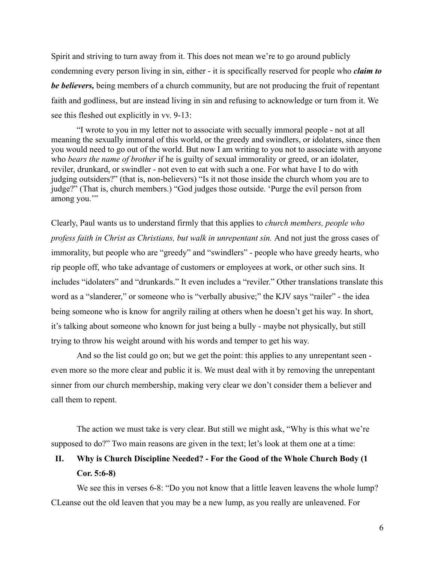Spirit and striving to turn away from it. This does not mean we're to go around publicly condemning every person living in sin, either - it is specifically reserved for people who *claim to be believers,* being members of a church community, but are not producing the fruit of repentant faith and godliness, but are instead living in sin and refusing to acknowledge or turn from it. We see this fleshed out explicitly in vv. 9-13:

"I wrote to you in my letter not to associate with secually immoral people - not at all meaning the sexually immoral of this world, or the greedy and swindlers, or idolaters, since then you would need to go out of the world. But now I am writing to you not to associate with anyone who *bears the name of brother* if he is guilty of sexual immorality or greed, or an idolater, reviler, drunkard, or swindler - not even to eat with such a one. For what have I to do with judging outsiders?" (that is, non-believers) "Is it not those inside the church whom you are to judge?" (That is, church members.) "God judges those outside. 'Purge the evil person from among you.'"

Clearly, Paul wants us to understand firmly that this applies to *church members, people who profess faith in Christ as Christians, but walk in unrepentant sin.* And not just the gross cases of immorality, but people who are "greedy" and "swindlers" - people who have greedy hearts, who rip people off, who take advantage of customers or employees at work, or other such sins. It includes "idolaters" and "drunkards." It even includes a "reviler." Other translations translate this word as a "slanderer," or someone who is "verbally abusive;" the KJV says "railer" - the idea being someone who is know for angrily railing at others when he doesn't get his way. In short, it's talking about someone who known for just being a bully - maybe not physically, but still trying to throw his weight around with his words and temper to get his way.

And so the list could go on; but we get the point: this applies to any unrepentant seen even more so the more clear and public it is. We must deal with it by removing the unrepentant sinner from our church membership, making very clear we don't consider them a believer and call them to repent.

The action we must take is very clear. But still we might ask, "Why is this what we're supposed to do?" Two main reasons are given in the text; let's look at them one at a time:

## **II. Why is Church Discipline Needed? - For the Good of the Whole Church Body (1 Cor. 5:6-8)**

We see this in verses 6-8: "Do you not know that a little leaven leavens the whole lump? CLeanse out the old leaven that you may be a new lump, as you really are unleavened. For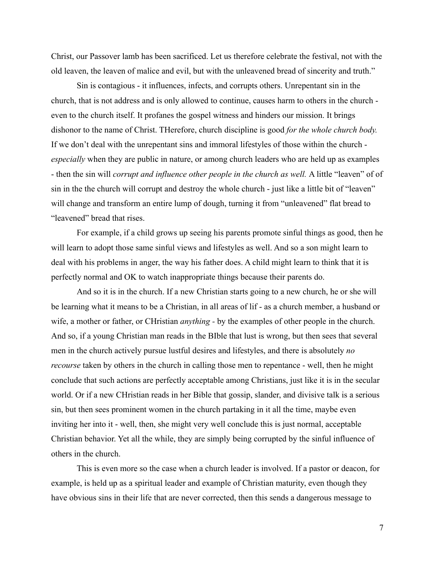Christ, our Passover lamb has been sacrificed. Let us therefore celebrate the festival, not with the old leaven, the leaven of malice and evil, but with the unleavened bread of sincerity and truth."

Sin is contagious - it influences, infects, and corrupts others. Unrepentant sin in the church, that is not address and is only allowed to continue, causes harm to others in the church even to the church itself. It profanes the gospel witness and hinders our mission. It brings dishonor to the name of Christ. THerefore, church discipline is good *for the whole church body.* If we don't deal with the unrepentant sins and immoral lifestyles of those within the church *especially* when they are public in nature, or among church leaders who are held up as examples - then the sin will *corrupt and influence other people in the church as well.* A little "leaven" of of sin in the the church will corrupt and destroy the whole church - just like a little bit of "leaven" will change and transform an entire lump of dough, turning it from "unleavened" flat bread to "leavened" bread that rises.

For example, if a child grows up seeing his parents promote sinful things as good, then he will learn to adopt those same sinful views and lifestyles as well. And so a son might learn to deal with his problems in anger, the way his father does. A child might learn to think that it is perfectly normal and OK to watch inappropriate things because their parents do.

And so it is in the church. If a new Christian starts going to a new church, he or she will be learning what it means to be a Christian, in all areas of lif - as a church member, a husband or wife, a mother or father, or CHristian *anything -* by the examples of other people in the church. And so, if a young Christian man reads in the BIble that lust is wrong, but then sees that several men in the church actively pursue lustful desires and lifestyles, and there is absolutely *no recourse* taken by others in the church in calling those men to repentance - well, then he might conclude that such actions are perfectly acceptable among Christians, just like it is in the secular world. Or if a new CHristian reads in her Bible that gossip, slander, and divisive talk is a serious sin, but then sees prominent women in the church partaking in it all the time, maybe even inviting her into it - well, then, she might very well conclude this is just normal, acceptable Christian behavior. Yet all the while, they are simply being corrupted by the sinful influence of others in the church.

This is even more so the case when a church leader is involved. If a pastor or deacon, for example, is held up as a spiritual leader and example of Christian maturity, even though they have obvious sins in their life that are never corrected, then this sends a dangerous message to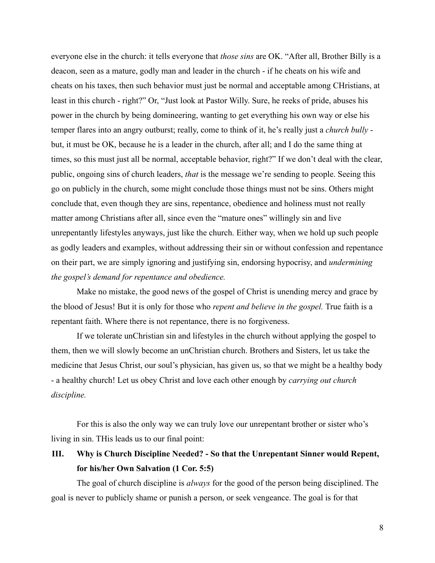everyone else in the church: it tells everyone that *those sins* are OK. "After all, Brother Billy is a deacon, seen as a mature, godly man and leader in the church - if he cheats on his wife and cheats on his taxes, then such behavior must just be normal and acceptable among CHristians, at least in this church - right?" Or, "Just look at Pastor Willy. Sure, he reeks of pride, abuses his power in the church by being domineering, wanting to get everything his own way or else his temper flares into an angry outburst; really, come to think of it, he's really just a *church bully* but, it must be OK, because he is a leader in the church, after all; and I do the same thing at times, so this must just all be normal, acceptable behavior, right?" If we don't deal with the clear, public, ongoing sins of church leaders, *that* is the message we're sending to people. Seeing this go on publicly in the church, some might conclude those things must not be sins. Others might conclude that, even though they are sins, repentance, obedience and holiness must not really matter among Christians after all, since even the "mature ones" willingly sin and live unrepentantly lifestyles anyways, just like the church. Either way, when we hold up such people as godly leaders and examples, without addressing their sin or without confession and repentance on their part, we are simply ignoring and justifying sin, endorsing hypocrisy, and *undermining the gospel's demand for repentance and obedience.*

Make no mistake, the good news of the gospel of Christ is unending mercy and grace by the blood of Jesus! But it is only for those who *repent and believe in the gospel.* True faith is a repentant faith. Where there is not repentance, there is no forgiveness.

If we tolerate unChristian sin and lifestyles in the church without applying the gospel to them, then we will slowly become an unChristian church. Brothers and Sisters, let us take the medicine that Jesus Christ, our soul's physician, has given us, so that we might be a healthy body - a healthy church! Let us obey Christ and love each other enough by *carrying out church discipline.*

For this is also the only way we can truly love our unrepentant brother or sister who's living in sin. THis leads us to our final point:

**III. Why is Church Discipline Needed? - So that the Unrepentant Sinner would Repent, for his/her Own Salvation (1 Cor. 5:5)**

The goal of church discipline is *always* for the good of the person being disciplined. The goal is never to publicly shame or punish a person, or seek vengeance. The goal is for that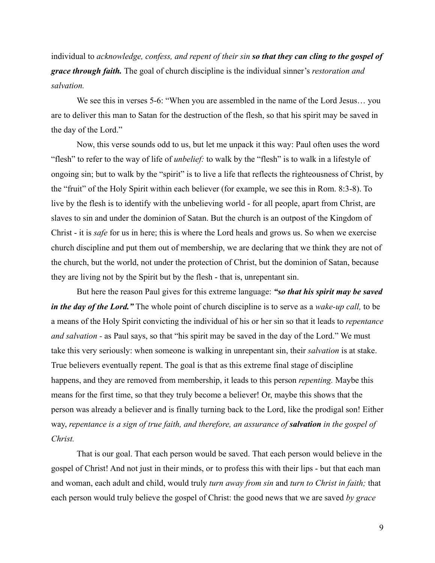individual to *acknowledge, confess, and repent of their sin so that they can cling to the gospel of grace through faith.* The goal of church discipline is the individual sinner's *restoration and salvation.*

We see this in verses 5-6: "When you are assembled in the name of the Lord Jesus... you are to deliver this man to Satan for the destruction of the flesh, so that his spirit may be saved in the day of the Lord."

Now, this verse sounds odd to us, but let me unpack it this way: Paul often uses the word "flesh" to refer to the way of life of *unbelief:* to walk by the "flesh" is to walk in a lifestyle of ongoing sin; but to walk by the "spirit" is to live a life that reflects the righteousness of Christ, by the "fruit" of the Holy Spirit within each believer (for example, we see this in Rom. 8:3-8). To live by the flesh is to identify with the unbelieving world - for all people, apart from Christ, are slaves to sin and under the dominion of Satan. But the church is an outpost of the Kingdom of Christ - it is *safe* for us in here; this is where the Lord heals and grows us. So when we exercise church discipline and put them out of membership, we are declaring that we think they are not of the church, but the world, not under the protection of Christ, but the dominion of Satan, because they are living not by the Spirit but by the flesh - that is, unrepentant sin.

But here the reason Paul gives for this extreme language: *"so that his spirit may be saved in the day of the Lord."* The whole point of church discipline is to serve as a *wake-up call,* to be a means of the Holy Spirit convicting the individual of his or her sin so that it leads to *repentance and salvation -* as Paul says, so that "his spirit may be saved in the day of the Lord." We must take this very seriously: when someone is walking in unrepentant sin, their *salvation* is at stake. True believers eventually repent. The goal is that as this extreme final stage of discipline happens, and they are removed from membership, it leads to this person *repenting.* Maybe this means for the first time, so that they truly become a believer! Or, maybe this shows that the person was already a believer and is finally turning back to the Lord, like the prodigal son! Either way, *repentance is a sign of true faith, and therefore, an assurance of salvation in the gospel of Christ.*

That is our goal. That each person would be saved. That each person would believe in the gospel of Christ! And not just in their minds, or to profess this with their lips - but that each man and woman, each adult and child, would truly *turn away from sin* and *turn to Christ in faith;* that each person would truly believe the gospel of Christ: the good news that we are saved *by grace*